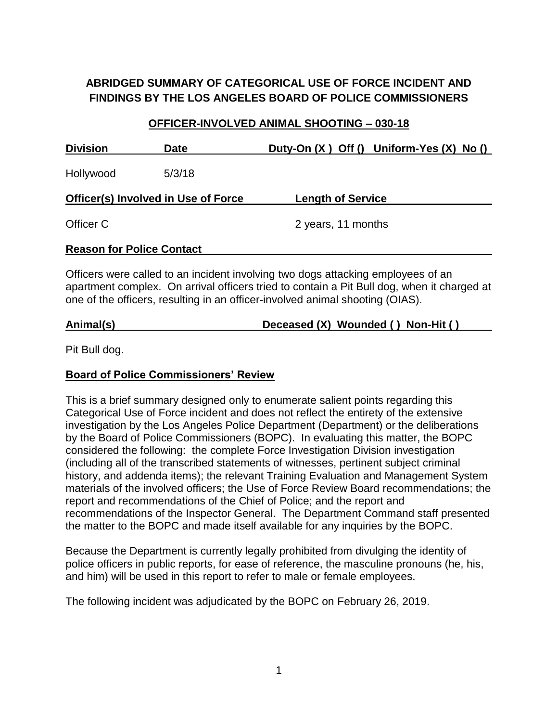# **ABRIDGED SUMMARY OF CATEGORICAL USE OF FORCE INCIDENT AND FINDINGS BY THE LOS ANGELES BOARD OF POLICE COMMISSIONERS**

# **OFFICER-INVOLVED ANIMAL SHOOTING – 030-18 Division Date Duty-On (X ) Off () Uniform-Yes (X) No ()** Hollywood 5/3/18 **Officer(s) Involved in Use of Force Length of Service** Officer C 2 years, 11 months **Reason for Police Contact**

Officers were called to an incident involving two dogs attacking employees of an apartment complex. On arrival officers tried to contain a Pit Bull dog, when it charged at one of the officers, resulting in an officer-involved animal shooting (OIAS).

#### **Animal(s) Deceased (X) Wounded ( ) Non-Hit ( )**

Pit Bull dog.

#### **Board of Police Commissioners' Review**

This is a brief summary designed only to enumerate salient points regarding this Categorical Use of Force incident and does not reflect the entirety of the extensive investigation by the Los Angeles Police Department (Department) or the deliberations by the Board of Police Commissioners (BOPC). In evaluating this matter, the BOPC considered the following: the complete Force Investigation Division investigation (including all of the transcribed statements of witnesses, pertinent subject criminal history, and addenda items); the relevant Training Evaluation and Management System materials of the involved officers; the Use of Force Review Board recommendations; the report and recommendations of the Chief of Police; and the report and recommendations of the Inspector General. The Department Command staff presented the matter to the BOPC and made itself available for any inquiries by the BOPC.

Because the Department is currently legally prohibited from divulging the identity of police officers in public reports, for ease of reference, the masculine pronouns (he, his, and him) will be used in this report to refer to male or female employees.

The following incident was adjudicated by the BOPC on February 26, 2019.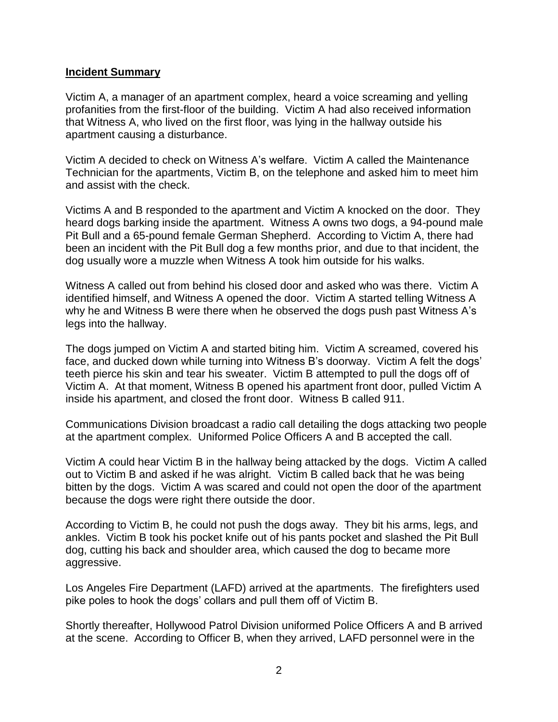#### **Incident Summary**

Victim A, a manager of an apartment complex, heard a voice screaming and yelling profanities from the first-floor of the building. Victim A had also received information that Witness A, who lived on the first floor, was lying in the hallway outside his apartment causing a disturbance.

Victim A decided to check on Witness A's welfare. Victim A called the Maintenance Technician for the apartments, Victim B, on the telephone and asked him to meet him and assist with the check.

Victims A and B responded to the apartment and Victim A knocked on the door. They heard dogs barking inside the apartment. Witness A owns two dogs, a 94-pound male Pit Bull and a 65-pound female German Shepherd. According to Victim A, there had been an incident with the Pit Bull dog a few months prior, and due to that incident, the dog usually wore a muzzle when Witness A took him outside for his walks.

Witness A called out from behind his closed door and asked who was there. Victim A identified himself, and Witness A opened the door. Victim A started telling Witness A why he and Witness B were there when he observed the dogs push past Witness A's legs into the hallway.

The dogs jumped on Victim A and started biting him. Victim A screamed, covered his face, and ducked down while turning into Witness B's doorway. Victim A felt the dogs' teeth pierce his skin and tear his sweater. Victim B attempted to pull the dogs off of Victim A. At that moment, Witness B opened his apartment front door, pulled Victim A inside his apartment, and closed the front door. Witness B called 911.

Communications Division broadcast a radio call detailing the dogs attacking two people at the apartment complex. Uniformed Police Officers A and B accepted the call.

Victim A could hear Victim B in the hallway being attacked by the dogs. Victim A called out to Victim B and asked if he was alright. Victim B called back that he was being bitten by the dogs. Victim A was scared and could not open the door of the apartment because the dogs were right there outside the door.

According to Victim B, he could not push the dogs away. They bit his arms, legs, and ankles. Victim B took his pocket knife out of his pants pocket and slashed the Pit Bull dog, cutting his back and shoulder area, which caused the dog to became more aggressive.

Los Angeles Fire Department (LAFD) arrived at the apartments. The firefighters used pike poles to hook the dogs' collars and pull them off of Victim B.

Shortly thereafter, Hollywood Patrol Division uniformed Police Officers A and B arrived at the scene. According to Officer B, when they arrived, LAFD personnel were in the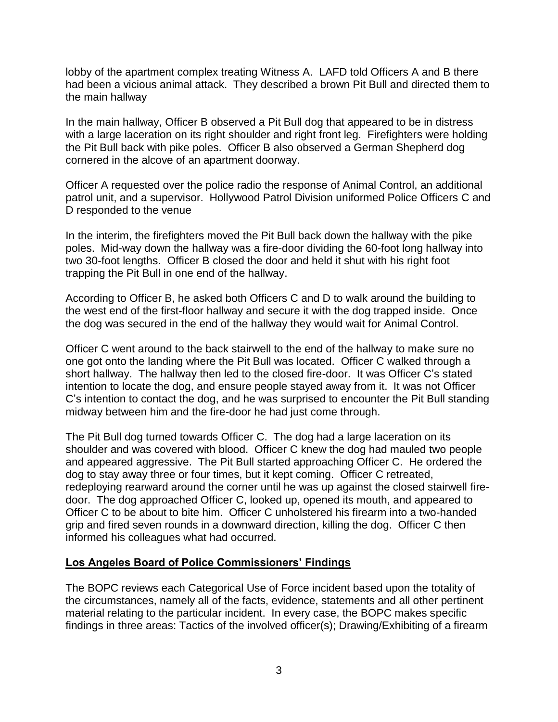lobby of the apartment complex treating Witness A. LAFD told Officers A and B there had been a vicious animal attack. They described a brown Pit Bull and directed them to the main hallway

In the main hallway, Officer B observed a Pit Bull dog that appeared to be in distress with a large laceration on its right shoulder and right front leg. Firefighters were holding the Pit Bull back with pike poles. Officer B also observed a German Shepherd dog cornered in the alcove of an apartment doorway.

Officer A requested over the police radio the response of Animal Control, an additional patrol unit, and a supervisor. Hollywood Patrol Division uniformed Police Officers C and D responded to the venue

In the interim, the firefighters moved the Pit Bull back down the hallway with the pike poles. Mid-way down the hallway was a fire-door dividing the 60-foot long hallway into two 30-foot lengths. Officer B closed the door and held it shut with his right foot trapping the Pit Bull in one end of the hallway.

According to Officer B, he asked both Officers C and D to walk around the building to the west end of the first-floor hallway and secure it with the dog trapped inside. Once the dog was secured in the end of the hallway they would wait for Animal Control.

Officer C went around to the back stairwell to the end of the hallway to make sure no one got onto the landing where the Pit Bull was located. Officer C walked through a short hallway. The hallway then led to the closed fire-door. It was Officer C's stated intention to locate the dog, and ensure people stayed away from it. It was not Officer C's intention to contact the dog, and he was surprised to encounter the Pit Bull standing midway between him and the fire-door he had just come through.

The Pit Bull dog turned towards Officer C. The dog had a large laceration on its shoulder and was covered with blood. Officer C knew the dog had mauled two people and appeared aggressive. The Pit Bull started approaching Officer C. He ordered the dog to stay away three or four times, but it kept coming. Officer C retreated, redeploying rearward around the corner until he was up against the closed stairwell firedoor. The dog approached Officer C, looked up, opened its mouth, and appeared to Officer C to be about to bite him. Officer C unholstered his firearm into a two-handed grip and fired seven rounds in a downward direction, killing the dog. Officer C then informed his colleagues what had occurred.

#### **Los Angeles Board of Police Commissioners' Findings**

The BOPC reviews each Categorical Use of Force incident based upon the totality of the circumstances, namely all of the facts, evidence, statements and all other pertinent material relating to the particular incident. In every case, the BOPC makes specific findings in three areas: Tactics of the involved officer(s); Drawing/Exhibiting of a firearm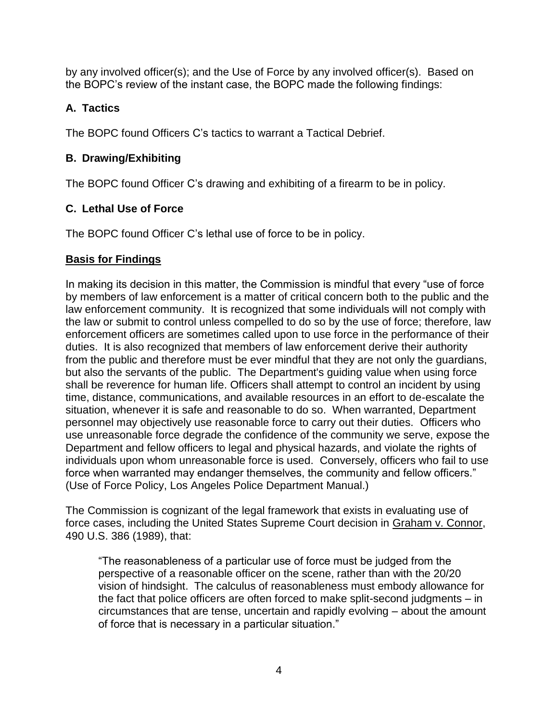by any involved officer(s); and the Use of Force by any involved officer(s). Based on the BOPC's review of the instant case, the BOPC made the following findings:

# **A. Tactics**

The BOPC found Officers C's tactics to warrant a Tactical Debrief.

# **B. Drawing/Exhibiting**

The BOPC found Officer C's drawing and exhibiting of a firearm to be in policy.

# **C. Lethal Use of Force**

The BOPC found Officer C's lethal use of force to be in policy.

# **Basis for Findings**

In making its decision in this matter, the Commission is mindful that every "use of force by members of law enforcement is a matter of critical concern both to the public and the law enforcement community. It is recognized that some individuals will not comply with the law or submit to control unless compelled to do so by the use of force; therefore, law enforcement officers are sometimes called upon to use force in the performance of their duties. It is also recognized that members of law enforcement derive their authority from the public and therefore must be ever mindful that they are not only the guardians, but also the servants of the public. The Department's guiding value when using force shall be reverence for human life. Officers shall attempt to control an incident by using time, distance, communications, and available resources in an effort to de-escalate the situation, whenever it is safe and reasonable to do so. When warranted, Department personnel may objectively use reasonable force to carry out their duties. Officers who use unreasonable force degrade the confidence of the community we serve, expose the Department and fellow officers to legal and physical hazards, and violate the rights of individuals upon whom unreasonable force is used. Conversely, officers who fail to use force when warranted may endanger themselves, the community and fellow officers." (Use of Force Policy, Los Angeles Police Department Manual.)

The Commission is cognizant of the legal framework that exists in evaluating use of force cases, including the United States Supreme Court decision in Graham v. Connor, 490 U.S. 386 (1989), that:

"The reasonableness of a particular use of force must be judged from the perspective of a reasonable officer on the scene, rather than with the 20/20 vision of hindsight. The calculus of reasonableness must embody allowance for the fact that police officers are often forced to make split-second judgments – in circumstances that are tense, uncertain and rapidly evolving – about the amount of force that is necessary in a particular situation."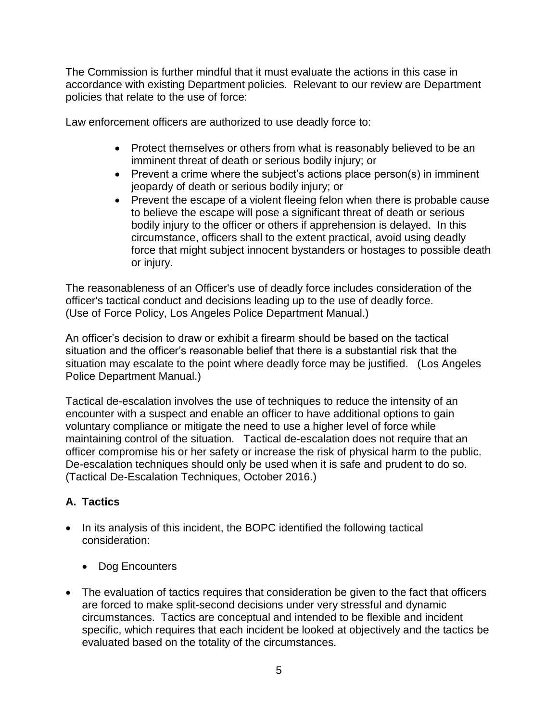The Commission is further mindful that it must evaluate the actions in this case in accordance with existing Department policies. Relevant to our review are Department policies that relate to the use of force:

Law enforcement officers are authorized to use deadly force to:

- Protect themselves or others from what is reasonably believed to be an imminent threat of death or serious bodily injury; or
- Prevent a crime where the subject's actions place person(s) in imminent jeopardy of death or serious bodily injury; or
- Prevent the escape of a violent fleeing felon when there is probable cause to believe the escape will pose a significant threat of death or serious bodily injury to the officer or others if apprehension is delayed. In this circumstance, officers shall to the extent practical, avoid using deadly force that might subject innocent bystanders or hostages to possible death or injury.

The reasonableness of an Officer's use of deadly force includes consideration of the officer's tactical conduct and decisions leading up to the use of deadly force. (Use of Force Policy, Los Angeles Police Department Manual.)

An officer's decision to draw or exhibit a firearm should be based on the tactical situation and the officer's reasonable belief that there is a substantial risk that the situation may escalate to the point where deadly force may be justified. (Los Angeles Police Department Manual.)

Tactical de-escalation involves the use of techniques to reduce the intensity of an encounter with a suspect and enable an officer to have additional options to gain voluntary compliance or mitigate the need to use a higher level of force while maintaining control of the situation. Tactical de-escalation does not require that an officer compromise his or her safety or increase the risk of physical harm to the public. De-escalation techniques should only be used when it is safe and prudent to do so. (Tactical De-Escalation Techniques, October 2016.)

# **A. Tactics**

- In its analysis of this incident, the BOPC identified the following tactical consideration:
	- Dog Encounters
- The evaluation of tactics requires that consideration be given to the fact that officers are forced to make split-second decisions under very stressful and dynamic circumstances. Tactics are conceptual and intended to be flexible and incident specific, which requires that each incident be looked at objectively and the tactics be evaluated based on the totality of the circumstances.